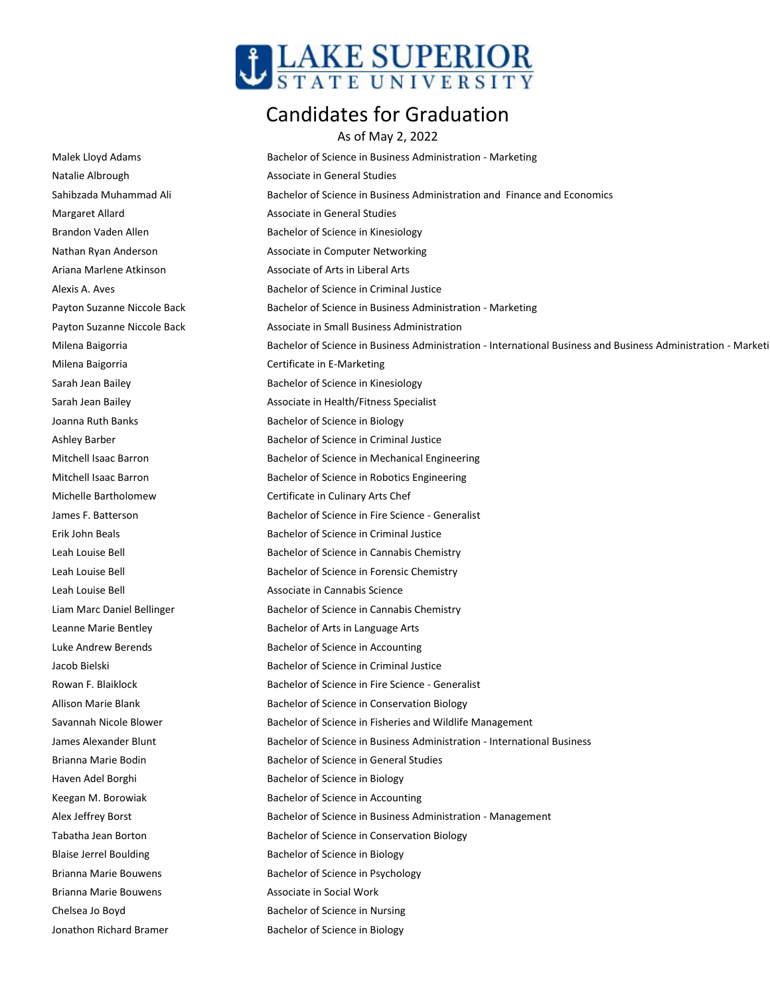

## Candidates for Graduation

As of May 2, 2022 Malek Lloyd Adams **Bachelor of Science in Business Administration - Marketing** Bachelor of Science in Business Administration - Marketing Natalie Albrough **Associate in General Studies** Associate in General Studies Sahibzada Muhammad Ali Bachelor of Science in Business Administration and Finance and Economics Margaret Allard **Associate in General Studies** Associate in General Studies Brandon Vaden Allen Bachelor of Science in Kinesiology Nathan Ryan Anderson **Associate in Computer Networking** Ariana Marlene Atkinson Associate of Arts in Liberal Arts Alexis A. Aves Bachelor of Science in Criminal Justice Payton Suzanne Niccole Back Bachelor of Science in Business Administration - Marketing Payton Suzanne Niccole Back Associate in Small Business Administration Milena Baigorria **Bachelor of Science in Business Administration** - International Business and Business Administration - Marketing Milena Baigorria Certificate in E-Marketing Sarah Jean Bailey **Bachelor of Science in Kinesiology** Sarah Jean Bailey **Associate in Health/Fitness Specialist** Associate in Health/Fitness Specialist Joanna Ruth Banks **Bachelor of Science in Biology** Ashley Barber **Bachelor of Science in Criminal Justice** Mitchell Isaac Barron Bachelor of Science in Mechanical Engineering Mitchell Isaac Barron **Bachelor of Science in Robotics Engineering** Michelle Bartholomew Certificate in Culinary Arts Chef James F. Batterson Bachelor of Science in Fire Science - Generalist Erik John Beals Bachelor of Science in Criminal Justice Leah Louise Bell **Bachelor of Science in Cannabis Chemistry** Bachelor of Science in Cannabis Chemistry Leah Louise Bell **Bachelor of Science in Forensic Chemistry** Leah Louise Bell **Associate in Cannabis Science** Associate in Cannabis Science Liam Marc Daniel Bellinger **Bachelor of Science in Cannabis Chemistry** Leanne Marie Bentley **Bachelor of Arts in Language Arts** Luke Andrew Berends **Bachelor of Science in Accounting** bulke Andrew Bachelor of Science in Accounting Jacob Bielski Bachelor of Science in Criminal Justice Rowan F. Blaiklock **Bachelor of Science in Fire Science - Generalist** Bachelor of Science in Fire Science - Generalist Allison Marie Blank Bachelor of Science in Conservation Biology Savannah Nicole Blower **Bachelor of Science in Fisheries and Wildlife Management** James Alexander Blunt Bachelor of Science in Business Administration - International Business Brianna Marie Bodin **Bachelor of Science in General Studies** Haven Adel Borghi **Bachelor of Science in Biology** Keegan M. Borowiak **Bachelor of Science in Accounting** Alex Jeffrey Borst **Bachelor of Science in Business Administration - Management** Tabatha Jean Borton **Bachelor of Science in Conservation Biology** Bachelor of Science in Conservation Biology Blaise Jerrel Boulding Bachelor of Science in Biology Brianna Marie Bouwens **Bachelor of Science in Psychology** Brianna Marie Bouwens **Associate in Social Work** Chelsea Jo Boyd Bachelor of Science in Nursing Jonathon Richard Bramer Bachelor of Science in Biology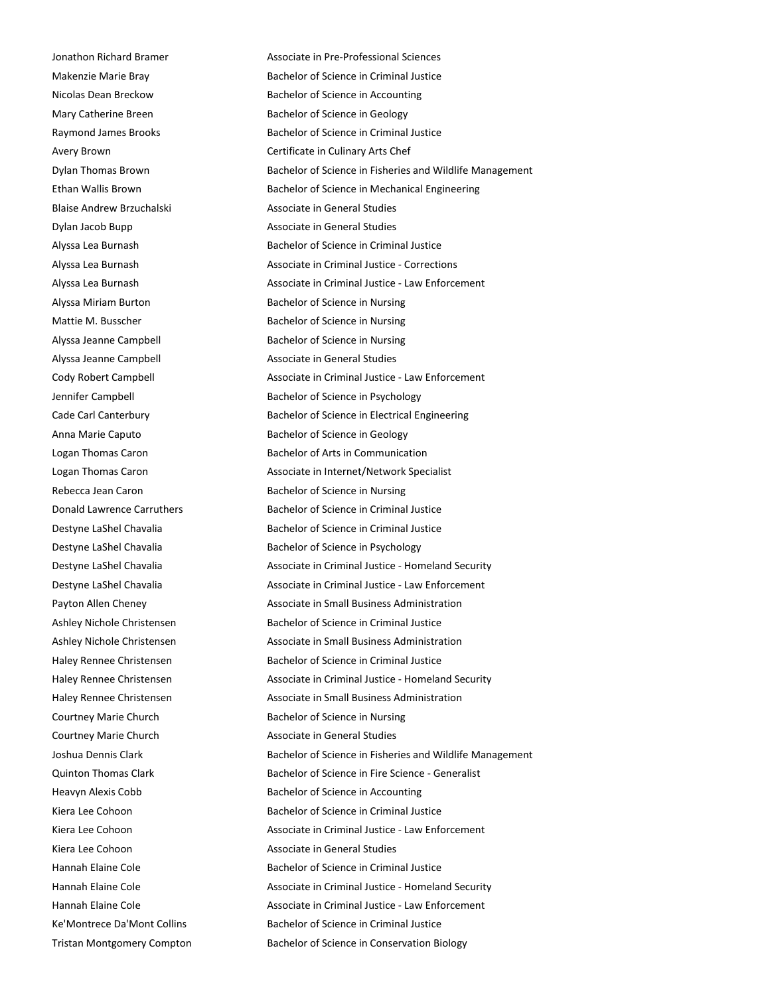Jonathon Richard Bramer Associate in Pre-Professional Sciences Makenzie Marie Bray Bachelor of Science in Criminal Justice Nicolas Dean Breckow Bachelor of Science in Accounting Mary Catherine Breen Bachelor of Science in Geology Raymond James Brooks **Bachelor of Science in Criminal Justice** Bachelor of Science in Criminal Justice Avery Brown Certificate in Culinary Arts Chef Dylan Thomas Brown **Bachelor of Science in Fisheries and Wildlife Management** Ethan Wallis Brown Bachelor of Science in Mechanical Engineering Blaise Andrew Brzuchalski Associate in General Studies Dylan Jacob Bupp **Associate in General Studies** Alyssa Lea Burnash Bachelor of Science in Criminal Justice Alyssa Lea Burnash Associate in Criminal Justice - Corrections Alyssa Lea Burnash Associate in Criminal Justice - Law Enforcement Alyssa Miriam Burton **Bachelor of Science in Nursing** Mattie M. Busscher **Bachelor of Science in Nursing** Alyssa Jeanne Campbell Bachelor of Science in Nursing Alyssa Jeanne Campbell **Associate in General Studies** Cody Robert Campbell Associate in Criminal Justice - Law Enforcement Jennifer Campbell **Bachelor of Science in Psychology** Cade Carl Canterbury Bachelor of Science in Electrical Engineering Anna Marie Caputo **Bachelor of Science in Geology** Logan Thomas Caron **Bachelor of Arts in Communication** Logan Thomas Caron **Associate in Internet/Network Specialist** Logan Thomas Caron Rebecca Jean Caron **Bachelor of Science in Nursing** Donald Lawrence Carruthers Bachelor of Science in Criminal Justice Destyne LaShel Chavalia Bachelor of Science in Criminal Justice Destyne LaShel Chavalia Bachelor of Science in Psychology Destyne LaShel Chavalia **Associate in Criminal Justice - Homeland Security** Associate in Criminal Justice - Homeland Security Destyne LaShel Chavalia **Associate in Criminal Justice - Law Enforcement** Payton Allen Cheney **Associate in Small Business Administration** Ashley Nichole Christensen Bachelor of Science in Criminal Justice Ashley Nichole Christensen Associate in Small Business Administration Haley Rennee Christensen Bachelor of Science in Criminal Justice Haley Rennee Christensen **Associate in Criminal Justice - Homeland Security** Haley Rennee Christensen Haley Rennee Christensen Associate in Small Business Administration Courtney Marie Church Bachelor of Science in Nursing Courtney Marie Church **Associate in General Studies** Joshua Dennis Clark **Bachelor of Science in Fisheries and Wildlife Management** Quinton Thomas Clark Bachelor of Science in Fire Science - Generalist Heavyn Alexis Cobb Bachelor of Science in Accounting Kiera Lee Cohoon Bachelor of Science in Criminal Justice Kiera Lee Cohoon Associate in Criminal Justice - Law Enforcement Kiera Lee Cohoon **Associate in General Studies** Hannah Elaine Cole Bachelor of Science in Criminal Justice Hannah Elaine Cole **Associate in Criminal Justice - Homeland Security** - Homeland Security Hannah Elaine Cole **Associate in Criminal Justice - Law Enforcement** Ke'Montrece Da'Mont Collins Bachelor of Science in Criminal Justice Tristan Montgomery Compton Bachelor of Science in Conservation Biology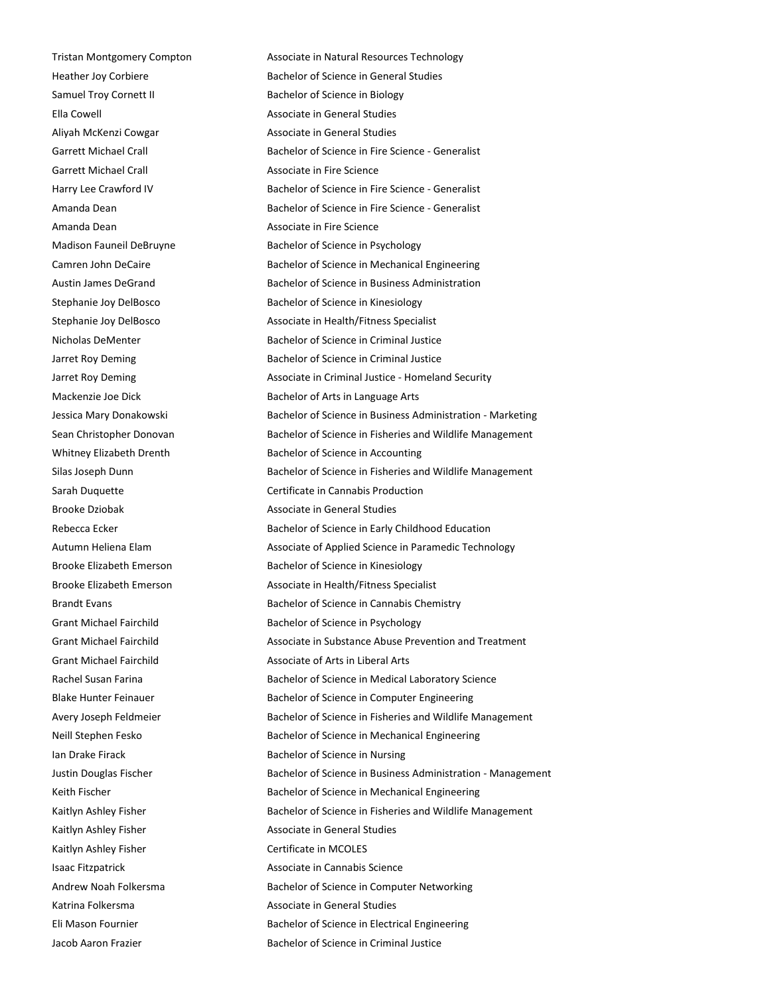Garrett Michael Crall **Associate in Fire Science** Amanda Dean **Associate in Fire Science** Kaitlyn Ashley Fisher Certificate in MCOLES

Tristan Montgomery Compton Associate in Natural Resources Technology Heather Joy Corbiere **Bachelor of Science in General Studies** Samuel Troy Cornett II Bachelor of Science in Biology Ella Cowell Associate in General Studies Aliyah McKenzi Cowgar **Associate in General Studies** Associate in General Studies Garrett Michael Crall **Bachelor of Science in Fire Science - Generalist** Bachelor of Science in Fire Science - Generalist Harry Lee Crawford IV Bachelor of Science in Fire Science - Generalist Amanda Dean Bachelor of Science in Fire Science - Generalist Madison Fauneil DeBruyne Bachelor of Science in Psychology Camren John DeCaire **Bachelor of Science in Mechanical Engineering** Austin James DeGrand **Bachelor of Science in Business Administration** Stephanie Joy DelBosco Bachelor of Science in Kinesiology Stephanie Joy DelBosco Associate in Health/Fitness Specialist Nicholas DeMenter Bachelor of Science in Criminal Justice Jarret Roy Deming **Bachelor of Science in Criminal Justice** Jarret Roy Deming **Associate in Criminal Justice - Homeland Security** Associate in Criminal Justice - Homeland Security Mackenzie Joe Dick Bachelor of Arts in Language Arts Jessica Mary Donakowski **Bachelor of Science in Business Administration - Marketing** Sean Christopher Donovan Bachelor of Science in Fisheries and Wildlife Management Whitney Elizabeth Drenth Bachelor of Science in Accounting Silas Joseph Dunn **Bachelor of Science in Fisheries and Wildlife Management** Sarah Duquette Certificate in Cannabis Production Brooke Dziobak **Associate in General Studies** Rebecca Ecker **Bachelor of Science in Early Childhood Education** Bachelor of Science in Early Childhood Education Autumn Heliena Elam Associate of Applied Science in Paramedic Technology Brooke Elizabeth Emerson Bachelor of Science in Kinesiology Brooke Elizabeth Emerson Associate in Health/Fitness Specialist Brandt Evans Bachelor of Science in Cannabis Chemistry Grant Michael Fairchild Bachelor of Science in Psychology Grant Michael Fairchild **Associate in Substance Abuse Prevention and Treatment** Grant Michael Fairchild Associate of Arts in Liberal Arts Rachel Susan Farina Bachelor of Science in Medical Laboratory Science Blake Hunter Feinauer **Bachelor of Science in Computer Engineering** Avery Joseph Feldmeier **Bachelor of Science in Fisheries and Wildlife Management** Neill Stephen Fesko Bachelor of Science in Mechanical Engineering Ian Drake Firack **Bachelor of Science in Nursing** Justin Douglas Fischer **Bachelor of Science in Business Administration - Management** Keith Fischer **Bachelor of Science in Mechanical Engineering** Bachelor of Science in Mechanical Engineering Kaitlyn Ashley Fisher **Bachelor of Science in Fisheries and Wildlife Management** Kaitlyn Ashley Fisher **Associate in General Studies** Associate in General Studies Isaac Fitzpatrick **Associate in Cannabis Science** Associate in Cannabis Science Andrew Noah Folkersma Bachelor of Science in Computer Networking Katrina Folkersma<br>
Associate in General Studies Eli Mason Fournier Bachelor of Science in Electrical Engineering Jacob Aaron Frazier Bachelor of Science in Criminal Justice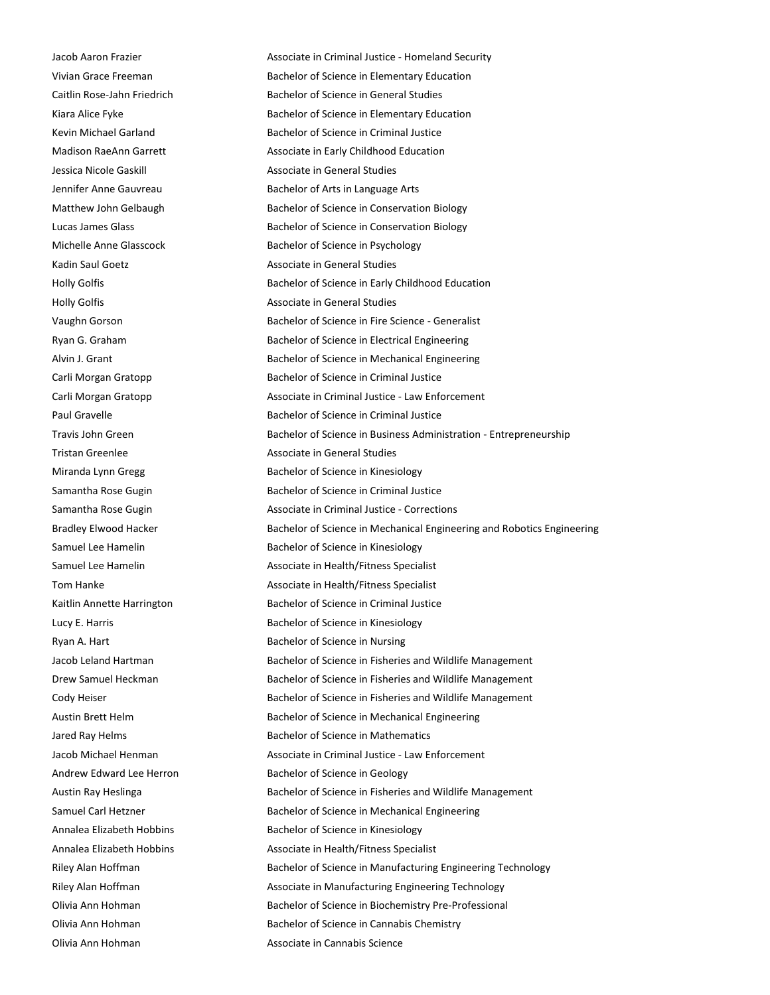Vivian Grace Freeman Bachelor of Science in Elementary Education Caitlin Rose-Jahn Friedrich Bachelor of Science in General Studies Kiara Alice Fyke **Bachelor of Science in Elementary Education** Kevin Michael Garland Bachelor of Science in Criminal Justice Madison RaeAnn Garrett Associate in Early Childhood Education Jessica Nicole Gaskill **Associate in General Studies** Jennifer Anne Gauvreau **Bachelor of Arts in Language Arts** Matthew John Gelbaugh Bachelor of Science in Conservation Biology Lucas James Glass **Bachelor of Science in Conservation Biology** Bachelor of Science in Conservation Biology Michelle Anne Glasscock Bachelor of Science in Psychology Kadin Saul Goetz **Associate in General Studies** Associate in General Studies Holly Golfis **Associate in General Studies** Associate in General Studies Ryan G. Graham Bachelor of Science in Electrical Engineering Carli Morgan Gratopp **Bachelor of Science in Criminal Justice** Paul Gravelle **Bachelor of Science in Criminal Justice** Tristan Greenlee **Associate in General Studies** Miranda Lynn Gregg Bachelor of Science in Kinesiology Samantha Rose Gugin Bachelor of Science in Criminal Justice Samantha Rose Gugin **Associate in Criminal Justice - Corrections** Associate in Criminal Justice - Corrections Samuel Lee Hamelin **Bachelor of Science in Kinesiology** Samuel Lee Hamelin **Associate in Health/Fitness Specialist** Associate in Health/Fitness Specialist Tom Hanke **Associate in Health/Fitness Specialist** Associate in Health/Fitness Specialist Kaitlin Annette Harrington Bachelor of Science in Criminal Justice Lucy E. Harris **Bachelor of Science in Kinesiology** Ryan A. Hart **Bachelor of Science in Nursing** Jared Ray Helms Bachelor of Science in Mathematics Andrew Edward Lee Herron Bachelor of Science in Geology Annalea Elizabeth Hobbins Bachelor of Science in Kinesiology Annalea Elizabeth Hobbins Associate in Health/Fitness Specialist Olivia Ann Hohman Bachelor of Science in Cannabis Chemistry Olivia Ann Hohman Associate in Cannabis Science

Jacob Aaron Frazier **Associate in Criminal Justice - Homeland Security** Associate in Criminal Justice - Homeland Security Holly Golfis Bachelor of Science in Early Childhood Education Vaughn Gorson Bachelor of Science in Fire Science - Generalist Alvin J. Grant **Bachelor of Science in Mechanical Engineering** Carli Morgan Gratopp **Associate in Criminal Justice - Law Enforcement** Travis John Green Bachelor of Science in Business Administration - Entrepreneurship Bradley Elwood Hacker **Bachelor of Science in Mechanical Engineering and Robotics Engineering Bradley** Elwood Hacker Jacob Leland Hartman **Bachelor of Science in Fisheries and Wildlife Management** Drew Samuel Heckman **Bachelor of Science in Fisheries and Wildlife Management** Cody Heiser **Bachelor of Science in Fisheries and Wildlife Management** Bachelor of Science in Fisheries and Wildlife Management Austin Brett Helm **Bachelor of Science in Mechanical Engineering** Jacob Michael Henman **Associate in Criminal Justice - Law Enforcement** Austin Ray Heslinga **Bachelor of Science in Fisheries and Wildlife Management** Samuel Carl Hetzner **Bachelor of Science in Mechanical Engineering** Riley Alan Hoffman **Bachelor of Science in Manufacturing Engineering Technology Bachelor of Science in Manufacturing Engineering Technology** Riley Alan Hoffman **Associate in Manufacturing Engineering Technology Associate in Manufacturing Engineering Technology** Olivia Ann Hohman Bachelor of Science in Biochemistry Pre-Professional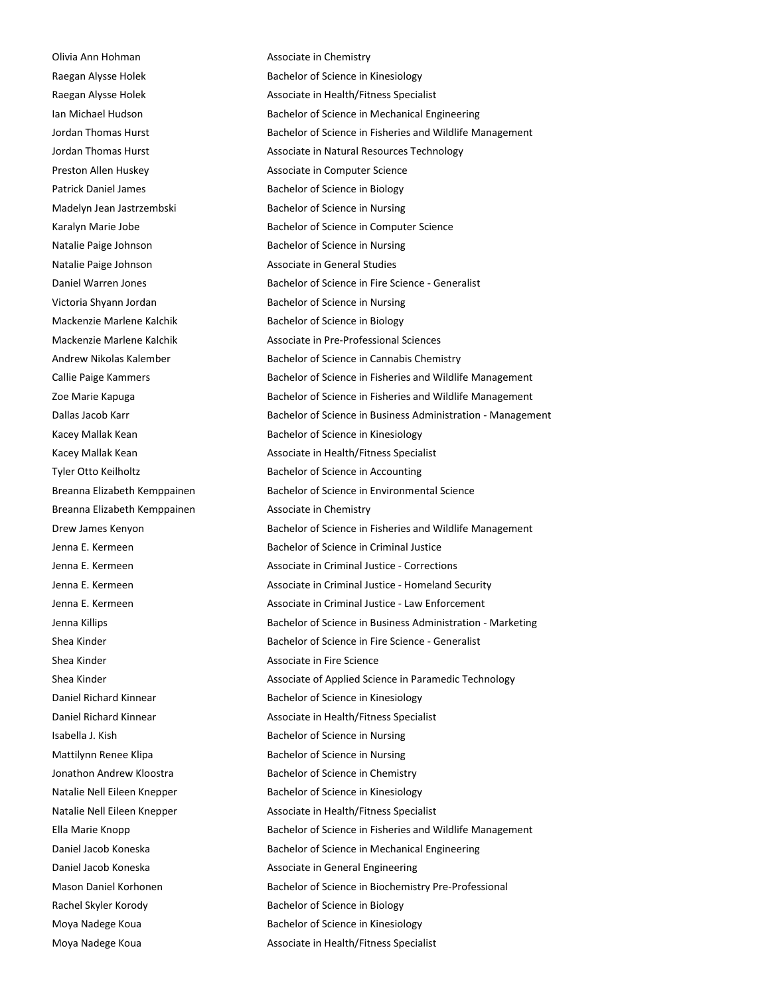Olivia Ann Hohman **Associate in Chemistry** Natalie Paige Johnson **Associate in General Studies** Breanna Elizabeth Kemppainen **Associate in Chemistry** Shea Kinder **Associate in Fire Science** Associate in Fire Science

Raegan Alysse Holek Bachelor of Science in Kinesiology Raegan Alysse Holek Associate in Health/Fitness Specialist Ian Michael Hudson Bachelor of Science in Mechanical Engineering Jordan Thomas Hurst **Bachelor of Science in Fisheries and Wildlife Management** Jordan Thomas Hurst **Associate in Natural Resources Technology** Preston Allen Huskey **Associate in Computer Science** Patrick Daniel James Bachelor of Science in Biology Madelyn Jean Jastrzembski Bachelor of Science in Nursing Karalyn Marie Jobe **Bachelor of Science in Computer Science** Natalie Paige Johnson Bachelor of Science in Nursing Daniel Warren Jones Bachelor of Science in Fire Science - Generalist Victoria Shyann Jordan Bachelor of Science in Nursing Mackenzie Marlene Kalchik Bachelor of Science in Biology Mackenzie Marlene Kalchik Associate in Pre-Professional Sciences Andrew Nikolas Kalember Bachelor of Science in Cannabis Chemistry Callie Paige Kammers **Bachelor of Science in Fisheries and Wildlife Management** Zoe Marie Kapuga **Bachelor of Science in Fisheries and Wildlife Management** Dallas Jacob Karr **Bachelor of Science in Business Administration - Management** Kacey Mallak Kean **Bachelor of Science in Kinesiology** Kacey Mallak Kean **Associate in Health/Fitness Specialist** Associate in Health/Fitness Specialist Tyler Otto Keilholtz Bachelor of Science in Accounting Breanna Elizabeth Kemppainen Bachelor of Science in Environmental Science Drew James Kenyon **Bachelor of Science in Fisheries and Wildlife Management** Jenna E. Kermeen Bachelor of Science in Criminal Justice Jenna E. Kermeen Associate in Criminal Justice - Corrections Jenna E. Kermeen **Associate in Criminal Justice - Homeland Security** Associate in Criminal Justice - Homeland Security Jenna E. Kermeen Associate in Criminal Justice - Law Enforcement Jenna Killips **Bachelor of Science in Business Administration** - Marketing -Shea Kinder Bachelor of Science in Fire Science - Generalist Shea Kinder **Associate of Applied Science in Paramedic Technology Associate of Applied Science in Paramedic Technology** Daniel Richard Kinnear **Bachelor of Science in Kinesiology** Daniel Richard Kinnear **Associate in Health/Fitness Specialist** Associate in Health/Fitness Specialist Isabella J. Kish Bachelor of Science in Nursing Mattilynn Renee Klipa Bachelor of Science in Nursing Jonathon Andrew Kloostra Bachelor of Science in Chemistry Natalie Nell Eileen Knepper Bachelor of Science in Kinesiology Natalie Nell Eileen Knepper Associate in Health/Fitness Specialist Ella Marie Knopp Bachelor of Science in Fisheries and Wildlife Management Daniel Jacob Koneska **Bachelor of Science in Mechanical Engineering** Daniel Jacob Koneska **Associate in General Engineering** Mason Daniel Korhonen Bachelor of Science in Biochemistry Pre-Professional Rachel Skyler Korody Bachelor of Science in Biology Moya Nadege Koua **Bachelor of Science in Kinesiology** Moya Nadege Koua **Associate in Health/Fitness Specialist** Associate in Health/Fitness Specialist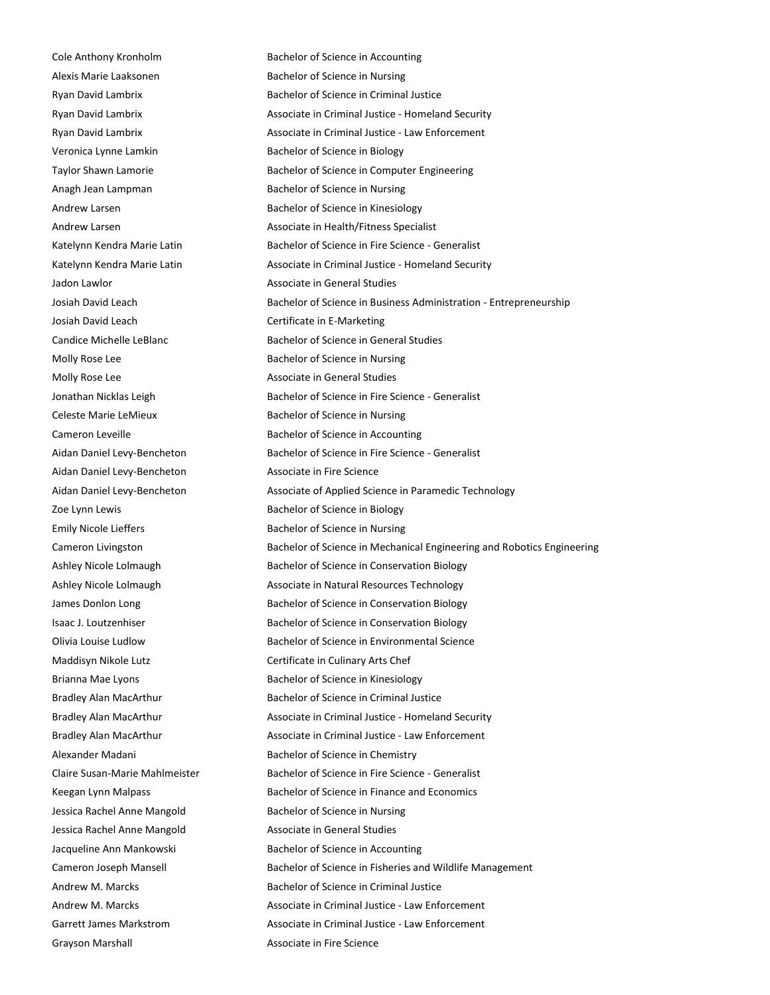Alexis Marie Laaksonen Bachelor of Science in Nursing Veronica Lynne Lamkin Bachelor of Science in Biology Anagh Jean Lampman Bachelor of Science in Nursing Jadon Lawlor **Associate in General Studies** Associate in General Studies Josiah David Leach Certificate in E-Marketing Molly Rose Lee Bachelor of Science in Nursing Molly Rose Lee **Associate in General Studies** Celeste Marie LeMieux Bachelor of Science in Nursing Aidan Daniel Levy-Bencheton Associate in Fire Science Zoe Lynn Lewis **Bachelor** of Science in Biology Emily Nicole Lieffers **Bachelor** of Science in Nursing Maddisyn Nikole Lutz **Certificate in Culinary Arts Chef** Jessica Rachel Anne Mangold Bachelor of Science in Nursing Jessica Rachel Anne Mangold Associate in General Studies Grayson Marshall **Associate in Fire Science** 

Cole Anthony Kronholm Bachelor of Science in Accounting Ryan David Lambrix Bachelor of Science in Criminal Justice Ryan David Lambrix **Associate in Criminal Justice - Homeland Security** Associate in Criminal Justice - Homeland Security Ryan David Lambrix Associate in Criminal Justice - Law Enforcement Taylor Shawn Lamorie **Bachelor of Science in Computer Engineering** Andrew Larsen **Bachelor of Science in Kinesiology** Andrew Larsen **Associate in Health/Fitness Specialist** Associate in Health/Fitness Specialist Katelynn Kendra Marie Latin Bachelor of Science in Fire Science - Generalist Katelynn Kendra Marie Latin **Associate in Criminal Justice - Homeland Security** Associate in Criminal Justice - Homeland Security Josiah David Leach **Bachelor of Science in Business Administration - Entrepreneurship Bachelor of Science in Business Administration - Entrepreneurship** Candice Michelle LeBlanc Bachelor of Science in General Studies Jonathan Nicklas Leigh Bachelor of Science in Fire Science - Generalist Cameron Leveille **Bachelor of Science in Accounting** Aidan Daniel Levy-Bencheton Bachelor of Science in Fire Science - Generalist Aidan Daniel Levy-Bencheton **Associate of Applied Science in Paramedic Technology** Cameron Livingston Bachelor of Science in Mechanical Engineering and Robotics Engineering Ashley Nicole Lolmaugh Bachelor of Science in Conservation Biology Ashley Nicole Lolmaugh Associate in Natural Resources Technology James Donlon Long **Bachelor of Science in Conservation Biology** Isaac J. Loutzenhiser Bachelor of Science in Conservation Biology Olivia Louise Ludlow Bachelor of Science in Environmental Science Brianna Mae Lyons **Bachelor of Science in Kinesiology** Bradley Alan MacArthur Bachelor of Science in Criminal Justice Bradley Alan MacArthur **Associate in Criminal Justice - Homeland Security** Associate in Criminal Justice - Homeland Security Bradley Alan MacArthur Associate in Criminal Justice - Law Enforcement Alexander Madani **Bachelor of Science in Chemistry** Claire Susan-Marie Mahlmeister Bachelor of Science in Fire Science - Generalist Keegan Lynn Malpass **Bachelor of Science in Finance and Economics** Bachelor of Science in Finance and Economics Jacqueline Ann Mankowski Bachelor of Science in Accounting Cameron Joseph Mansell **Bachelor of Science in Fisheries and Wildlife Management** Andrew M. Marcks Bachelor of Science in Criminal Justice Andrew M. Marcks **Associate in Criminal Justice - Law Enforcement** Garrett James Markstrom Associate in Criminal Justice - Law Enforcement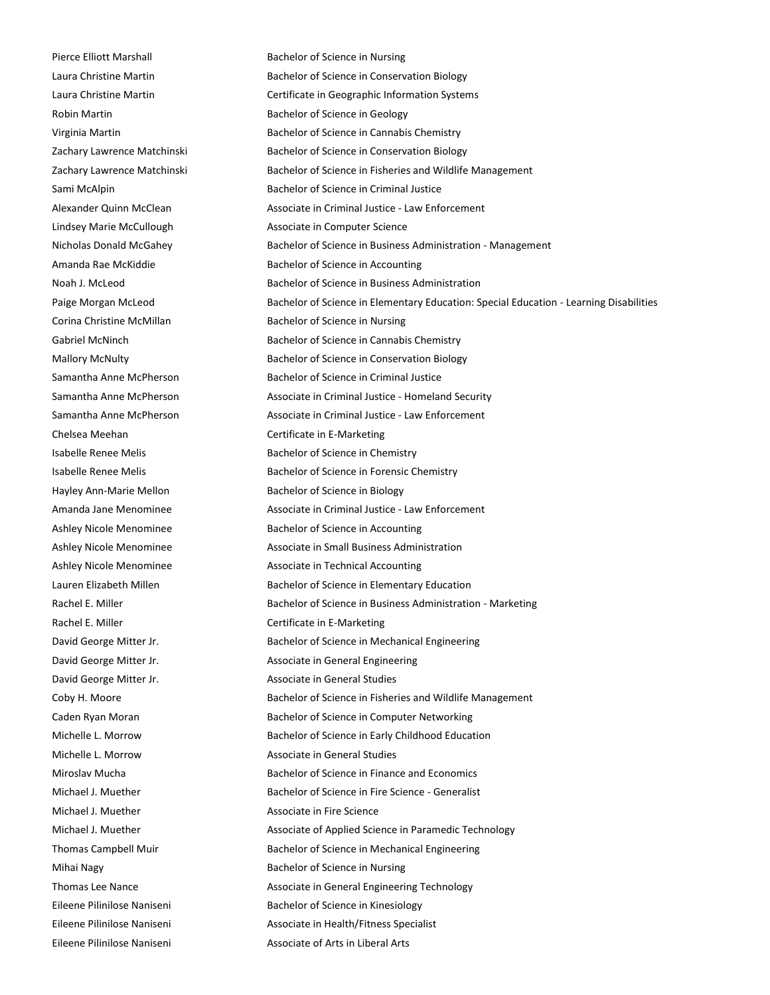Pierce Elliott Marshall **Bachelor of Science in Nursing** Corina Christine McMillan Bachelor of Science in Nursing Chelsea Meehan Certificate in E-Marketing Hayley Ann-Marie Mellon Bachelor of Science in Biology Rachel E. Miller Certificate in E-Marketing David George Mitter Jr. **Associate in General Studies** Michelle L. Morrow **Associate in General Studies** Michael J. Muether Associate in Fire Science Mihai Nagy **Bachelor of Science in Nursing** 

Laura Christine Martin **Bachelor of Science in Conservation Biology** Laura Christine Martin **Certificate in Geographic Information Systems** Robin Martin **Bachelor of Science in Geology** Virginia Martin Bachelor of Science in Cannabis Chemistry Zachary Lawrence Matchinski Bachelor of Science in Conservation Biology Zachary Lawrence Matchinski Bachelor of Science in Fisheries and Wildlife Management Sami McAlpin Bachelor of Science in Criminal Justice Alexander Quinn McClean Associate in Criminal Justice - Law Enforcement Lindsey Marie McCullough **Associate in Computer Science** Nicholas Donald McGahey Bachelor of Science in Business Administration - Management Amanda Rae McKiddie **Bachelor of Science in Accounting** Noah J. McLeod **Bachelor of Science in Business Administration** Paige Morgan McLeod Bachelor of Science in Elementary Education: Special Education - Learning Disabilities Gabriel McNinch **Bachelor of Science in Cannabis Chemistry** Bachelor of Science in Cannabis Chemistry Mallory McNulty Bachelor of Science in Conservation Biology Samantha Anne McPherson Bachelor of Science in Criminal Justice Samantha Anne McPherson **Associate in Criminal Justice - Homeland Security** Associate in Criminal Justice - Homeland Security Samantha Anne McPherson **Associate in Criminal Justice - Law Enforcement** Isabelle Renee Melis **Bachelor of Science in Chemistry** Isabelle Renee Melis **Bachelor of Science in Forensic Chemistry** Amanda Jane Menominee Associate in Criminal Justice - Law Enforcement Ashley Nicole Menominee Bachelor of Science in Accounting Ashley Nicole Menominee Associate in Small Business Administration Ashley Nicole Menominee Associate in Technical Accounting Lauren Elizabeth Millen **Bachelor of Science in Elementary Education** Rachel E. Miller **Bachelor of Science in Business Administration - Marketing** David George Mitter Jr. Bachelor of Science in Mechanical Engineering David George Mitter Jr. **All and Associate in General Engineering** Coby H. Moore **Bachelor of Science in Fisheries and Wildlife Management** Caden Ryan Moran **Bachelor of Science in Computer Networking** Michelle L. Morrow Bachelor of Science in Early Childhood Education Miroslav Mucha Bachelor of Science in Finance and Economics Michael J. Muether **Bachelor of Science in Fire Science - Generalist** Michael J. Muether **Associate of Applied Science in Paramedic Technology** Associate of Applied Science in Paramedic Technology Thomas Campbell Muir **Bachelor of Science in Mechanical Engineering** Thomas Lee Nance **Associate in General Engineering Technology** Associate in General Engineering Technology Eileene Pilinilose Naniseni **Bachelor** of Science in Kinesiology Eileene Pilinilose Naniseni **Associate in Health/Fitness Specialist** Eileene Pilinilose Naniseni Associate of Arts in Liberal Arts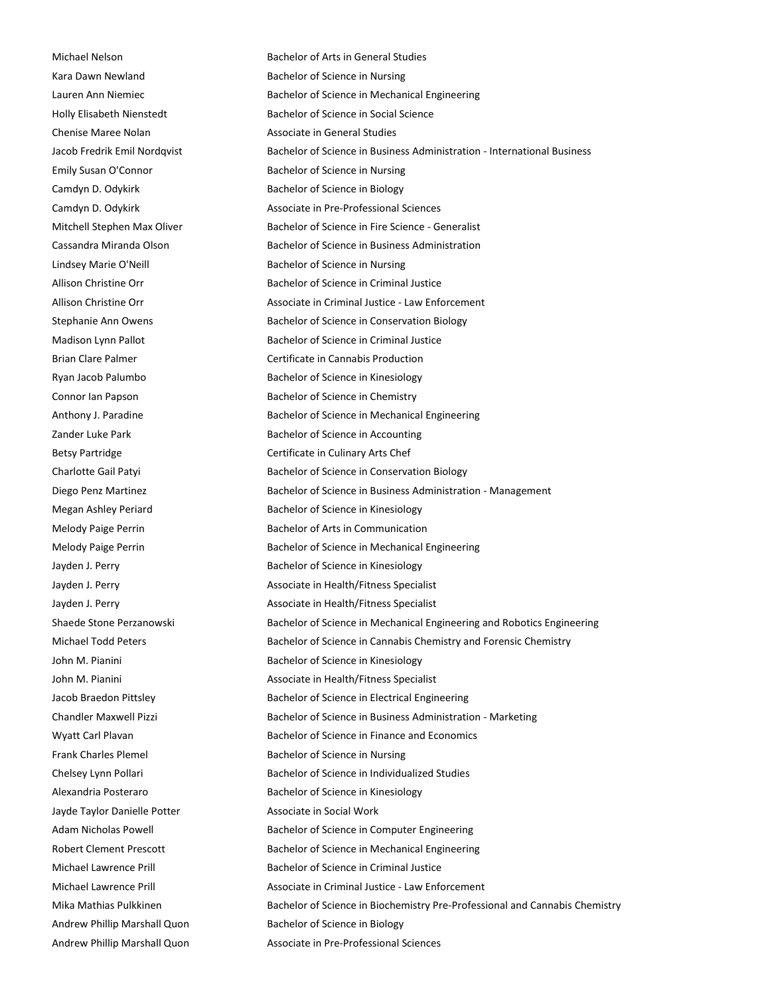Michael Nelson Bachelor of Arts in General Studies Kara Dawn Newland **Bachelor of Science in Nursing** Lauren Ann Niemiec **Bachelor of Science in Mechanical Engineering** Holly Elisabeth Nienstedt Bachelor of Science in Social Science Chenise Maree Nolan Associate in General Studies Jacob Fredrik Emil Nordqvist Bachelor of Science in Business Administration - International Business Emily Susan O'Connor **Bachelor of Science in Nursing** Camdyn D. Odykirk Bachelor of Science in Biology Camdyn D. Odykirk **Associate in Pre-Professional Sciences** Associate in Pre-Professional Sciences Mitchell Stephen Max Oliver Bachelor of Science in Fire Science - Generalist Cassandra Miranda Olson Bachelor of Science in Business Administration Lindsey Marie O'Neill **Bachelor of Science in Nursing** Allison Christine Orr Bachelor of Science in Criminal Justice Allison Christine Orr Associate in Criminal Justice - Law Enforcement Stephanie Ann Owens **Bachelor of Science in Conservation Biology** Madison Lynn Pallot Bachelor of Science in Criminal Justice Brian Clare Palmer **Certificate in Cannabis Production** Ryan Jacob Palumbo **Bachelor of Science in Kinesiology** Connor Ian Papson Bachelor of Science in Chemistry Anthony J. Paradine **Bachelor of Science in Mechanical Engineering** by Bachelor of Science in Mechanical Engineering Zander Luke Park **Bachelor of Science in Accounting** Betsy Partridge **Certificate in Culinary Arts Chef** Charlotte Gail Patyi Bachelor of Science in Conservation Biology Diego Penz Martinez **Bachelor of Science in Business Administration - Management** Megan Ashley Periard **Bachelor of Science in Kinesiology** Melody Paige Perrin **Bachelor of Arts in Communication** Melody Paige Perrin Bachelor of Science in Mechanical Engineering Jayden J. Perry **Bachelor of Science in Kinesiology** Jayden J. Perry **Associate in Health/Fitness Specialist** Jayden J. Perry **Associate in Health/Fitness Specialist** Associate in Health/Fitness Specialist Shaede Stone Perzanowski Bachelor of Science in Mechanical Engineering and Robotics Engineering Michael Todd Peters Bachelor of Science in Cannabis Chemistry and Forensic Chemistry John M. Pianini **Bachelor of Science in Kinesiology** John M. Pianini **Associate in Health/Fitness Specialist** Associate in Health/Fitness Specialist Jacob Braedon Pittsley **Bachelor of Science in Electrical Engineering** Chandler Maxwell Pizzi **Bachelor of Science in Business Administration - Marketing** Wyatt Carl Plavan Bachelor of Science in Finance and Economics Frank Charles Plemel Bachelor of Science in Nursing Chelsey Lynn Pollari **Bachelor of Science in Individualized Studies** Alexandria Posteraro Bachelor of Science in Kinesiology Jayde Taylor Danielle Potter Associate in Social Work Adam Nicholas Powell **Bachelor of Science in Computer Engineering** Robert Clement Prescott **Bachelor** of Science in Mechanical Engineering Michael Lawrence Prill Bachelor of Science in Criminal Justice Michael Lawrence Prill Associate in Criminal Justice - Law Enforcement Mika Mathias Pulkkinen **Bachelor of Science in Biochemistry Pre-Professional and Cannabis Chemistry** Chemistry Andrew Phillip Marshall Quon Bachelor of Science in Biology Andrew Phillip Marshall Quon Associate in Pre-Professional Sciences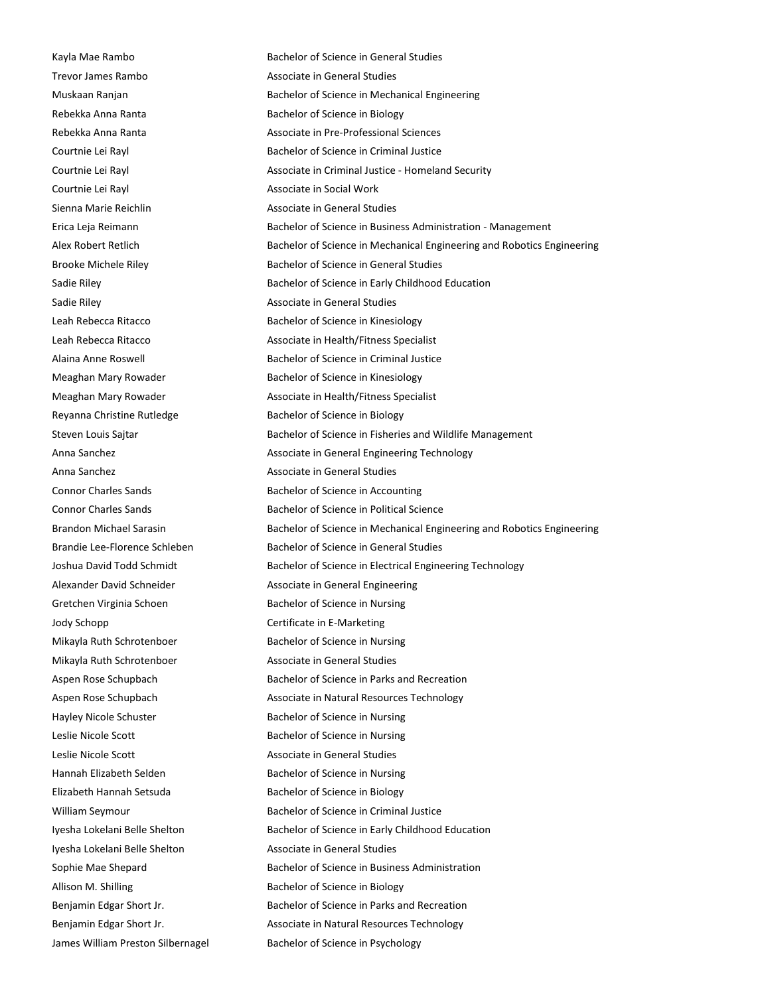Kayla Mae Rambo Bachelor of Science in General Studies Trevor James Rambo **Associate in General Studies** Muskaan Ranjan Bachelor of Science in Mechanical Engineering Rebekka Anna Ranta **Bachelor of Science in Biology** Bachelor of Science in Biology Rebekka Anna Ranta Associate in Pre-Professional Sciences Courtnie Lei Rayl Bachelor of Science in Criminal Justice Courtnie Lei Rayl **Associate in Criminal Justice - Homeland Security** Associate in Criminal Justice - Homeland Security Courtnie Lei Rayl **Courtnie Lei Rayl Associate in Social Work** Sienna Marie Reichlin **Associate in General Studies** Erica Leja Reimann Bachelor of Science in Business Administration - Management Alex Robert Retlich Bachelor of Science in Mechanical Engineering and Robotics Engineering Brooke Michele Riley Bachelor of Science in General Studies Sadie Riley Bachelor of Science in Early Childhood Education Sadie Riley **Associate in General Studies** Associate in General Studies Leah Rebecca Ritacco **Bachelor of Science in Kinesiology** Leah Rebecca Ritacco **Associate in Health/Fitness Specialist** Associate in Health/Fitness Specialist Alaina Anne Roswell **Bachelor of Science in Criminal Justice** Meaghan Mary Rowader Bachelor of Science in Kinesiology Meaghan Mary Rowader **Associate in Health/Fitness Specialist** Associate in Health/Fitness Specialist Reyanna Christine Rutledge Bachelor of Science in Biology Steven Louis Sajtar **Bachelor of Science in Fisheries and Wildlife Management** Anna Sanchez **Associate in General Engineering Technology** Associate in General Engineering Technology Anna Sanchez **Associate in General Studies** Associate in General Studies Connor Charles Sands Bachelor of Science in Accounting Connor Charles Sands Bachelor of Science in Political Science Brandon Michael Sarasin Bachelor of Science in Mechanical Engineering and Robotics Engineering Brandie Lee-Florence Schleben Bachelor of Science in General Studies Joshua David Todd Schmidt **Bachelor of Science in Electrical Engineering Technology** Alexander David Schneider **Associate in General Engineering** Gretchen Virginia Schoen Bachelor of Science in Nursing Jody Schopp **Certificate in E-Marketing** Mikayla Ruth Schrotenboer Bachelor of Science in Nursing Mikayla Ruth Schrotenboer Associate in General Studies Aspen Rose Schupbach Bachelor of Science in Parks and Recreation Aspen Rose Schupbach **Associate in Natural Resources Technology** Associate in Natural Resources Technology Hayley Nicole Schuster **Bachelor** of Science in Nursing Leslie Nicole Scott **Bachelor of Science in Nursing** Leslie Nicole Scott **Associate in General Studies** Hannah Elizabeth Selden Bachelor of Science in Nursing Elizabeth Hannah Setsuda<br>Bachelor of Science in Biology William Seymour **Bachelor of Science in Criminal Justice** Bachelor of Science in Criminal Justice Iyesha Lokelani Belle Shelton Bachelor of Science in Early Childhood Education Iyesha Lokelani Belle Shelton Associate in General Studies Sophie Mae Shepard **Bachelor of Science in Business Administration** Bachelor of Science in Business Administration Allison M. Shilling Bachelor of Science in Biology Benjamin Edgar Short Jr. Bachelor of Science in Parks and Recreation Benjamin Edgar Short Jr. Associate in Natural Resources Technology James William Preston Silbernagel Bachelor of Science in Psychology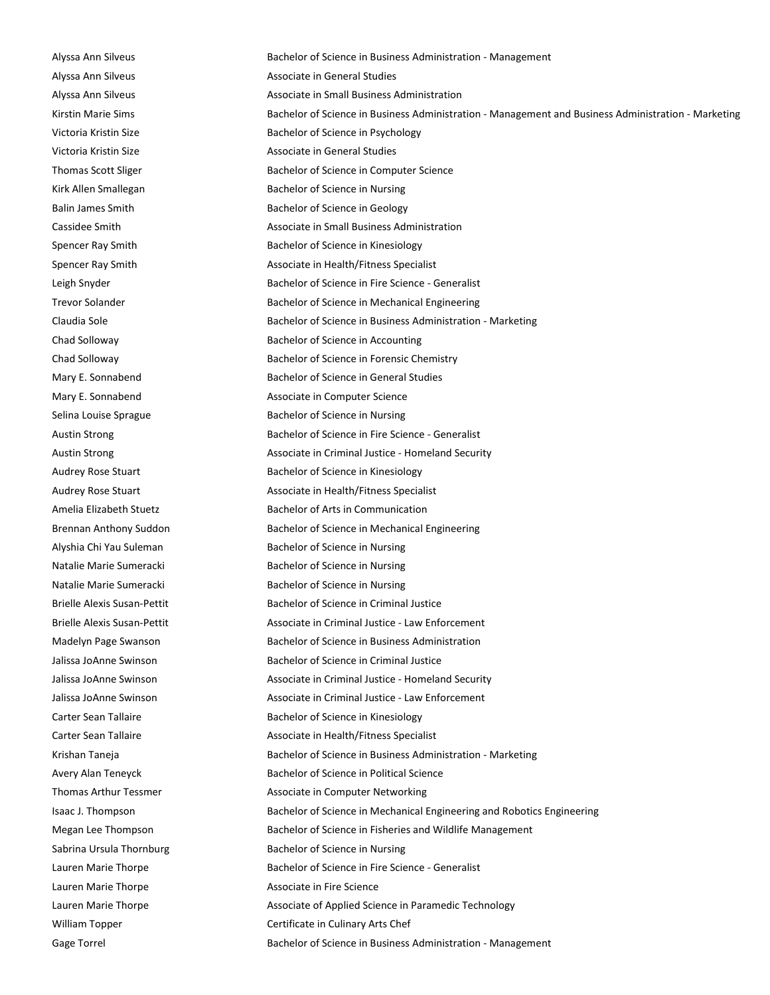Alyssa Ann Silveus Bachelor of Science in Business Administration - Management Alyssa Ann Silveus **Associate in General Studies** Alyssa Ann Silveus **Associate in Small Business Administration** Associate in Small Business Administration Kirstin Marie Sims **Bachelor of Science in Business Administration - Management and Business Administration - Marketing** Victoria Kristin Size **Bachelor of Science in Psychology** Victoria Kristin Size **Associate in General Studies** Associate in General Studies Thomas Scott Sliger Bachelor of Science in Computer Science Kirk Allen Smallegan Bachelor of Science in Nursing Balin James Smith Bachelor of Science in Geology Cassidee Smith **Associate in Small Business Administration** Spencer Ray Smith Bachelor of Science in Kinesiology Spencer Ray Smith Associate in Health/Fitness Specialist Leigh Snyder Bachelor of Science in Fire Science - Generalist Trevor Solander **Bachelor of Science in Mechanical Engineering** Claudia Sole **Bachelor of Science in Business Administration - Marketing** Claudia Sole Chad Solloway Bachelor of Science in Accounting Chad Solloway Bachelor of Science in Forensic Chemistry Mary E. Sonnabend Bachelor of Science in General Studies Mary E. Sonnabend **Associate in Computer Science** Selina Louise Sprague **Bachelor of Science in Nursing** Austin Strong **Bachelor of Science in Fire Science - Generalist** Austin Strong **Austin Strong Associate in Criminal Justice - Homeland Security** Austin Strong and Tuscon Associate in Criminal Justice - Homeland Security Audrey Rose Stuart **Bachelor of Science in Kinesiology** Audrey Rose Stuart **Associate in Health/Fitness Specialist** Audrey Rose Stuart Amelia Elizabeth Stuetz **Bachelor of Arts in Communication** Brennan Anthony Suddon Bachelor of Science in Mechanical Engineering Alyshia Chi Yau Suleman Bachelor of Science in Nursing Natalie Marie Sumeracki Bachelor of Science in Nursing Natalie Marie Sumeracki Bachelor of Science in Nursing Brielle Alexis Susan-Pettit Bachelor of Science in Criminal Justice Brielle Alexis Susan-Pettit Associate in Criminal Justice - Law Enforcement Madelyn Page Swanson **Bachelor of Science in Business Administration** Jalissa JoAnne Swinson Bachelor of Science in Criminal Justice Jalissa JoAnne Swinson **Associate in Criminal Justice - Homeland Security** Associate in Criminal Justice - Homeland Security Jalissa JoAnne Swinson **Associate in Criminal Justice - Law Enforcement** Carter Sean Tallaire **Bachelor of Science in Kinesiology** Carter Sean Tallaire **Associate in Health/Fitness Specialist** Associate in Health/Fitness Specialist Krishan Taneja **Bachelor of Science in Business Administration - Marketing Bachelor of Science in Business Administration - Marketing** Avery Alan Teneyck Bachelor of Science in Political Science Thomas Arthur Tessmer Associate in Computer Networking Isaac J. Thompson Bachelor of Science in Mechanical Engineering and Robotics Engineering Megan Lee Thompson Bachelor of Science in Fisheries and Wildlife Management Sabrina Ursula Thornburg **Bachelor of Science in Nursing** Lauren Marie Thorpe Bachelor of Science in Fire Science - Generalist Lauren Marie Thorpe **Associate in Fire Science** Lauren Marie Thorpe **Associate of Applied Science in Paramedic Technology** Associate of Applied Science in Paramedic Technology William Topper Certificate in Culinary Arts Chef Gage Torrel **Bachelor of Science in Business Administration** - Management